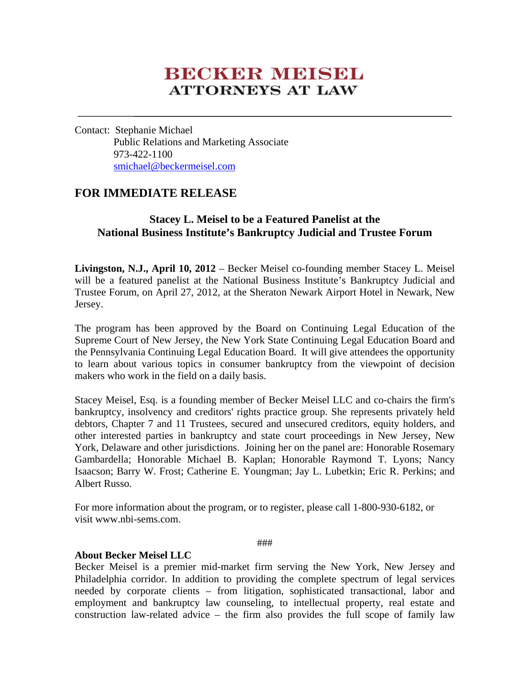## **BECKER MEISEL ATTORNEYS AT LAW**

Contact: Stephanie Michael Public Relations and Marketing Associate 973-422-1100 smichael@beckermeisel.com

## **FOR IMMEDIATE RELEASE**

## **Stacey L. Meisel to be a Featured Panelist at the National Business Institute's Bankruptcy Judicial and Trustee Forum**

**Livingston, N.J., April 10, 2012** – Becker Meisel co-founding member Stacey L. Meisel will be a featured panelist at the National Business Institute's Bankruptcy Judicial and Trustee Forum, on April 27, 2012, at the Sheraton Newark Airport Hotel in Newark, New Jersey.

The program has been approved by the Board on Continuing Legal Education of the Supreme Court of New Jersey, the New York State Continuing Legal Education Board and the Pennsylvania Continuing Legal Education Board. It will give attendees the opportunity to learn about various topics in consumer bankruptcy from the viewpoint of decision makers who work in the field on a daily basis.

Stacey Meisel, Esq. is a founding member of Becker Meisel LLC and co-chairs the firm's bankruptcy, insolvency and creditors' rights practice group. She represents privately held debtors, Chapter 7 and 11 Trustees, secured and unsecured creditors, equity holders, and other interested parties in bankruptcy and state court proceedings in New Jersey, New York, Delaware and other jurisdictions. Joining her on the panel are: Honorable Rosemary Gambardella; Honorable Michael B. Kaplan; Honorable Raymond T. Lyons; Nancy Isaacson; Barry W. Frost; Catherine E. Youngman; Jay L. Lubetkin; Eric R. Perkins; and Albert Russo.

For more information about the program, or to register, please call 1-800-930-6182, or visit www.nbi-sems.com.

###

## **About Becker Meisel LLC**

Becker Meisel is a premier mid-market firm serving the New York, New Jersey and Philadelphia corridor. In addition to providing the complete spectrum of legal services needed by corporate clients – from litigation, sophisticated transactional, labor and employment and bankruptcy law counseling, to intellectual property, real estate and construction law-related advice – the firm also provides the full scope of family law